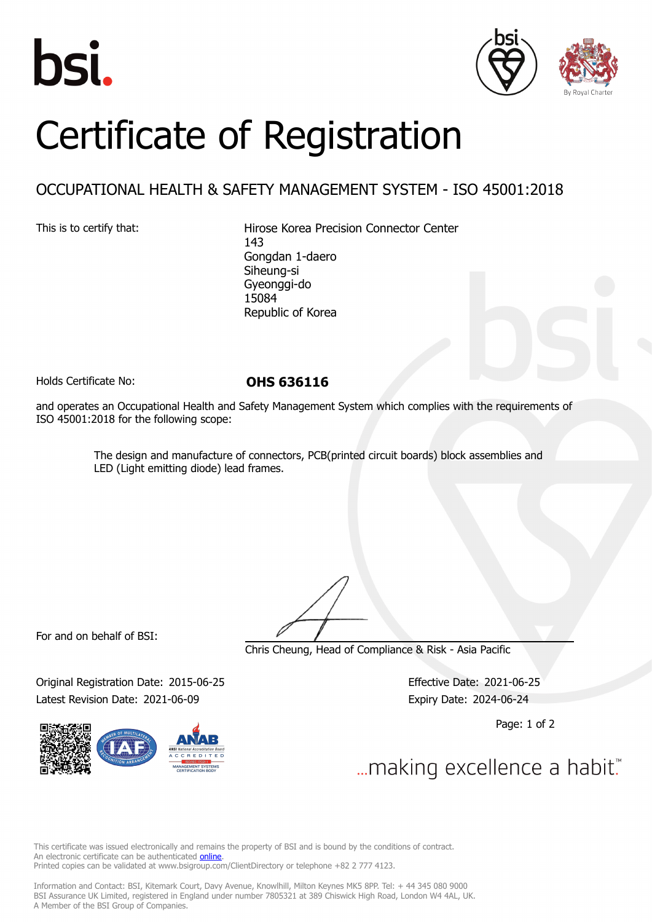





## Certificate of Registration

## OCCUPATIONAL HEALTH & SAFETY MANAGEMENT SYSTEM - ISO 45001:2018

This is to certify that: Hirose Korea Precision Connector Center 143 Gongdan 1-daero Siheung-si Gyeonggi-do 15084 Republic of Korea

Holds Certificate No: **OHS 636116**

and operates an Occupational Health and Safety Management System which complies with the requirements of ISO 45001:2018 for the following scope:

> The design and manufacture of connectors, PCB(printed circuit boards) block assemblies and LED (Light emitting diode) lead frames.

For and on behalf of BSI:

Chris Cheung, Head of Compliance & Risk - Asia Pacific

Original Registration Date: 2015-06-25 Effective Date: 2021-06-25 Latest Revision Date: 2021-06-09 Expiry Date: 2024-06-24

Page: 1 of 2

... making excellence a habit."

This certificate was issued electronically and remains the property of BSI and is bound by the conditions of contract. An electronic certificate can be authenticated **[online](https://pgplus.bsigroup.com/CertificateValidation/CertificateValidator.aspx?CertificateNumber=OHS+636116&ReIssueDate=09%2f06%2f2021&Template=korea_en)**. Printed copies can be validated at www.bsigroup.com/ClientDirectory or telephone +82 2 777 4123.

Information and Contact: BSI, Kitemark Court, Davy Avenue, Knowlhill, Milton Keynes MK5 8PP. Tel: + 44 345 080 9000 BSI Assurance UK Limited, registered in England under number 7805321 at 389 Chiswick High Road, London W4 4AL, UK. A Member of the BSI Group of Companies.